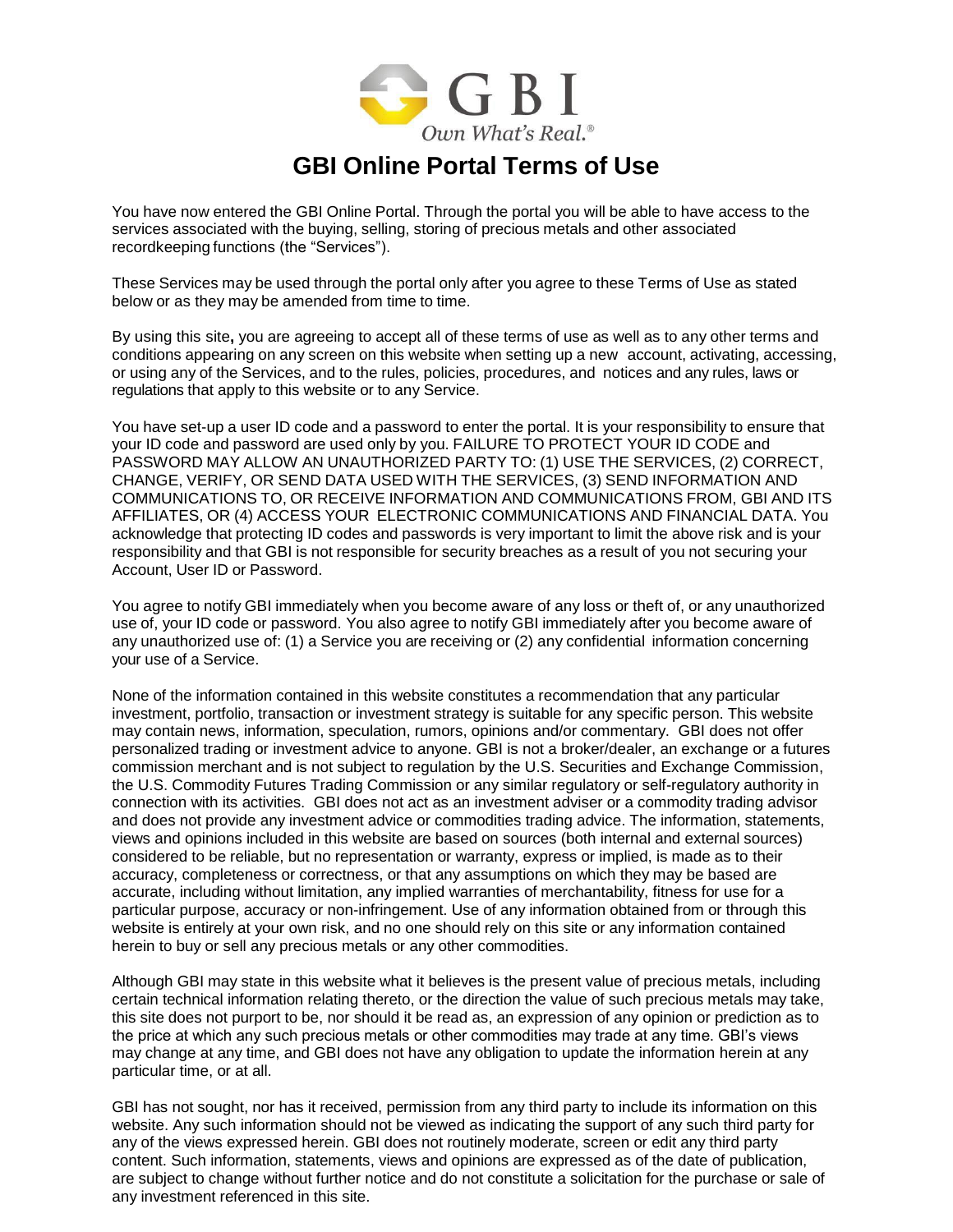

## **GBI Online Portal Terms of Use**

You have now entered the GBI Online Portal. Through the portal you will be able to have access to the services associated with the buying, selling, storing of precious metals and other associated recordkeeping functions (the "Services").

These Services may be used through the portal only after you agree to these Terms of Use as stated below or as they may be amended from time to time.

By using this site**,** you are agreeing to accept all of these terms of use as well as to any other terms and conditions appearing on any screen on this website when setting up a new account, activating, accessing, or using any of the Services, and to the rules, policies, procedures, and notices and any rules, laws or regulations that apply to this website or to any Service.

You have set-up a user ID code and a password to enter the portal. It is your responsibility to ensure that your ID code and password are used only by you. FAILURE TO PROTECT YOUR ID CODE and PASSWORD MAY ALLOW AN UNAUTHORIZED PARTY TO: (1) USE THE SERVICES, (2) CORRECT, CHANGE, VERIFY, OR SEND DATA USED WITH THE SERVICES, (3) SEND INFORMATION AND COMMUNICATIONS TO, OR RECEIVE INFORMATION AND COMMUNICATIONS FROM, GBI AND ITS AFFILIATES, OR (4) ACCESS YOUR ELECTRONIC COMMUNICATIONS AND FINANCIAL DATA. You acknowledge that protecting ID codes and passwords is very important to limit the above risk and is your responsibility and that GBI is not responsible for security breaches as a result of you not securing your Account, User ID or Password.

You agree to notify GBI immediately when you become aware of any loss or theft of, or any unauthorized use of, your ID code or password. You also agree to notify GBI immediately after you become aware of any unauthorized use of: (1) a Service you are receiving or (2) any confidential information concerning your use of a Service.

None of the information contained in this website constitutes a recommendation that any particular investment, portfolio, transaction or investment strategy is suitable for any specific person. This website may contain news, information, speculation, rumors, opinions and/or commentary. GBI does not offer personalized trading or investment advice to anyone. GBI is not a broker/dealer, an exchange or a futures commission merchant and is not subject to regulation by the U.S. Securities and Exchange Commission, the U.S. Commodity Futures Trading Commission or any similar regulatory or self-regulatory authority in connection with its activities. GBI does not act as an investment adviser or a commodity trading advisor and does not provide any investment advice or commodities trading advice. The information, statements, views and opinions included in this website are based on sources (both internal and external sources) considered to be reliable, but no representation or warranty, express or implied, is made as to their accuracy, completeness or correctness, or that any assumptions on which they may be based are accurate, including without limitation, any implied warranties of merchantability, fitness for use for a particular purpose, accuracy or non-infringement. Use of any information obtained from or through this website is entirely at your own risk, and no one should rely on this site or any information contained herein to buy or sell any precious metals or any other commodities.

Although GBI may state in this website what it believes is the present value of precious metals, including certain technical information relating thereto, or the direction the value of such precious metals may take, this site does not purport to be, nor should it be read as, an expression of any opinion or prediction as to the price at which any such precious metals or other commodities may trade at any time. GBI's views may change at any time, and GBI does not have any obligation to update the information herein at any particular time, or at all.

GBI has not sought, nor has it received, permission from any third party to include its information on this website. Any such information should not be viewed as indicating the support of any such third party for any of the views expressed herein. GBI does not routinely moderate, screen or edit any third party content. Such information, statements, views and opinions are expressed as of the date of publication, are subject to change without further notice and do not constitute a solicitation for the purchase or sale of any investment referenced in this site.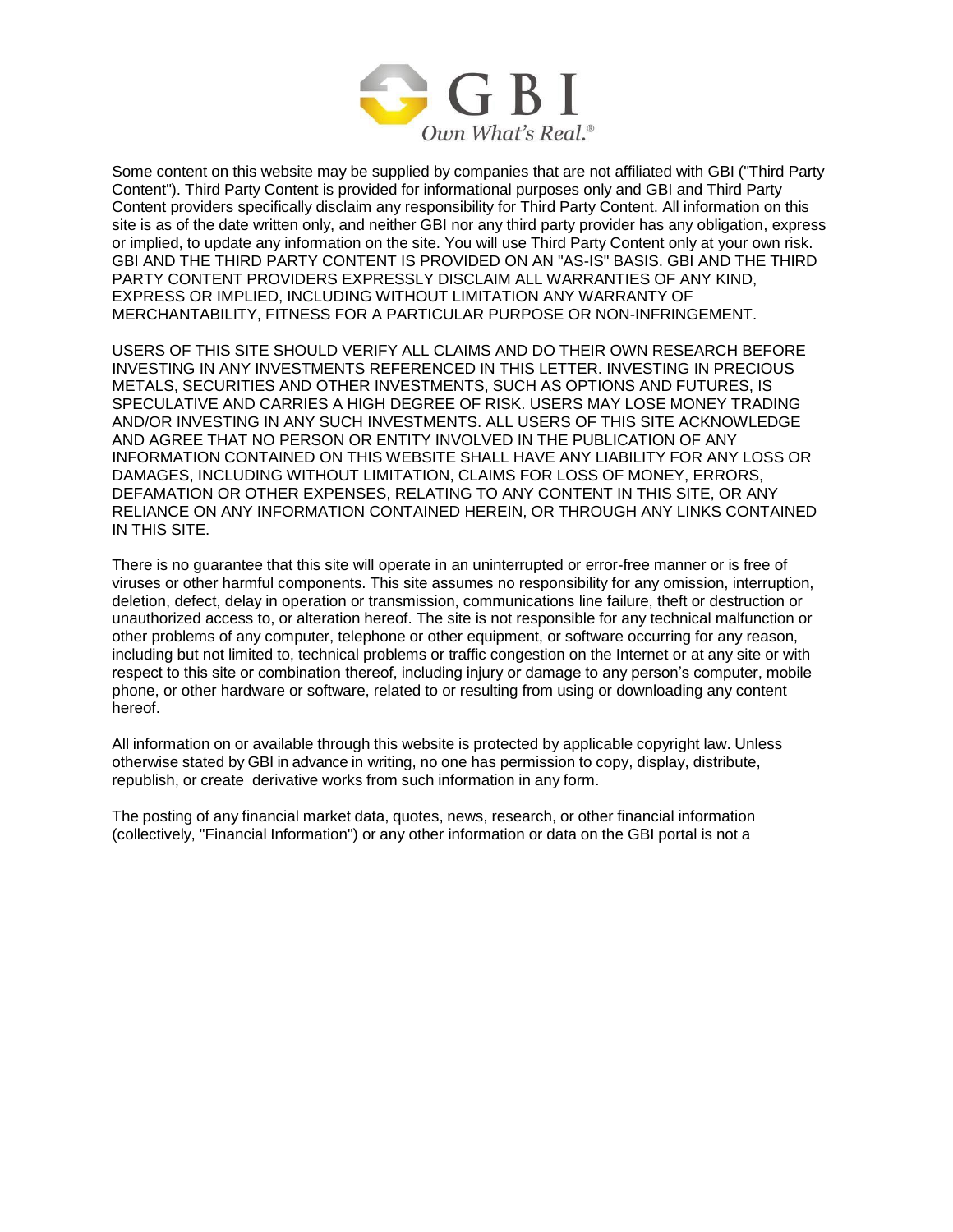

Some content on this website may be supplied by companies that are not affiliated with GBI ("Third Party Content"). Third Party Content is provided for informational purposes only and GBI and Third Party Content providers specifically disclaim any responsibility for Third Party Content. All information on this site is as of the date written only, and neither GBI nor any third party provider has any obligation, express or implied, to update any information on the site. You will use Third Party Content only at your own risk. GBI AND THE THIRD PARTY CONTENT IS PROVIDED ON AN "AS-IS" BASIS. GBI AND THE THIRD PARTY CONTENT PROVIDERS EXPRESSLY DISCLAIM ALL WARRANTIES OF ANY KIND, EXPRESS OR IMPLIED, INCLUDING WITHOUT LIMITATION ANY WARRANTY OF MERCHANTABILITY, FITNESS FOR A PARTICULAR PURPOSE OR NON-INFRINGEMENT.

USERS OF THIS SITE SHOULD VERIFY ALL CLAIMS AND DO THEIR OWN RESEARCH BEFORE INVESTING IN ANY INVESTMENTS REFERENCED IN THIS LETTER. INVESTING IN PRECIOUS METALS, SECURITIES AND OTHER INVESTMENTS, SUCH AS OPTIONS AND FUTURES, IS SPECULATIVE AND CARRIES A HIGH DEGREE OF RISK. USERS MAY LOSE MONEY TRADING AND/OR INVESTING IN ANY SUCH INVESTMENTS. ALL USERS OF THIS SITE ACKNOWLEDGE AND AGREE THAT NO PERSON OR ENTITY INVOLVED IN THE PUBLICATION OF ANY INFORMATION CONTAINED ON THIS WEBSITE SHALL HAVE ANY LIABILITY FOR ANY LOSS OR DAMAGES, INCLUDING WITHOUT LIMITATION, CLAIMS FOR LOSS OF MONEY, ERRORS, DEFAMATION OR OTHER EXPENSES, RELATING TO ANY CONTENT IN THIS SITE, OR ANY RELIANCE ON ANY INFORMATION CONTAINED HEREIN, OR THROUGH ANY LINKS CONTAINED IN THIS SITE.

There is no guarantee that this site will operate in an uninterrupted or error-free manner or is free of viruses or other harmful components. This site assumes no responsibility for any omission, interruption, deletion, defect, delay in operation or transmission, communications line failure, theft or destruction or unauthorized access to, or alteration hereof. The site is not responsible for any technical malfunction or other problems of any computer, telephone or other equipment, or software occurring for any reason, including but not limited to, technical problems or traffic congestion on the Internet or at any site or with respect to this site or combination thereof, including injury or damage to any person's computer, mobile phone, or other hardware or software, related to or resulting from using or downloading any content hereof.

All information on or available through this website is protected by applicable copyright law. Unless otherwise stated by GBI in advance in writing, no one has permission to copy, display, distribute, republish, or create derivative works from such information in any form.

The posting of any financial market data, quotes, news, research, or other financial information (collectively, "Financial Information") or any other information or data on the GBI portal is not a